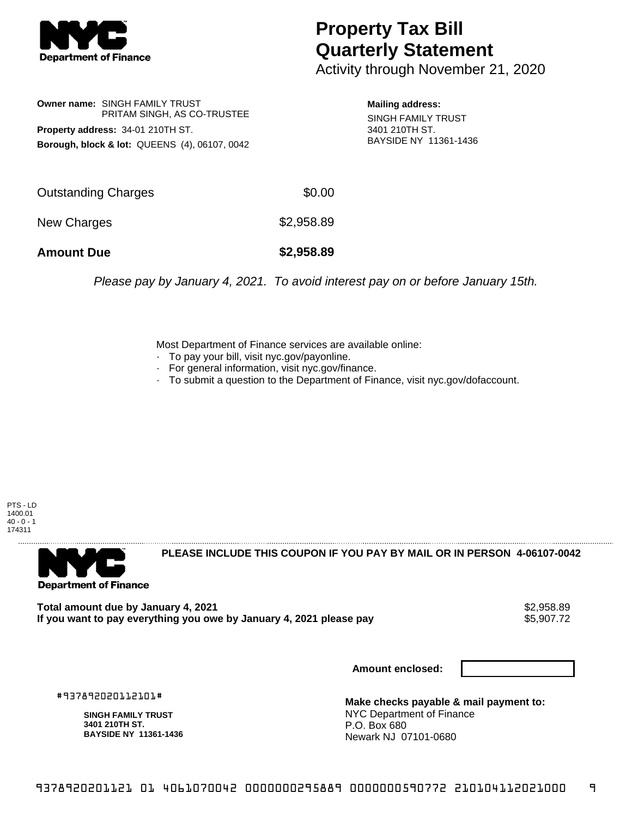

## **Property Tax Bill Quarterly Statement**

Activity through November 21, 2020

**Owner name:** SINGH FAMILY TRUST PRITAM SINGH, AS CO-TRUSTEE **Property address:** 34-01 210TH ST. **Borough, block & lot:** QUEENS (4), 06107, 0042

**Mailing address:** SINGH FAMILY TRUST 3401 210TH ST. BAYSIDE NY 11361-1436

| <b>Amount Due</b>   | \$2,958.89 |
|---------------------|------------|
| New Charges         | \$2,958.89 |
| Outstanding Charges | \$0.00     |

Please pay by January 4, 2021. To avoid interest pay on or before January 15th.

Most Department of Finance services are available online:

- · To pay your bill, visit nyc.gov/payonline.
- For general information, visit nyc.gov/finance.
- · To submit a question to the Department of Finance, visit nyc.gov/dofaccount.

PTS - LD 1400.01  $40 - 0 - 1$ 174311



**PLEASE INCLUDE THIS COUPON IF YOU PAY BY MAIL OR IN PERSON 4-06107-0042** 

Total amount due by January 4, 2021<br>If you want to pay everything you owe by January 4, 2021 please pay **ship want to pay everything** you owe by January 4, 2021 please pay If you want to pay everything you owe by January 4, 2021 please pay

**Amount enclosed:**

#937892020112101#

**SINGH FAMILY TRUST 3401 210TH ST. BAYSIDE NY 11361-1436**

**Make checks payable & mail payment to:** NYC Department of Finance P.O. Box 680 Newark NJ 07101-0680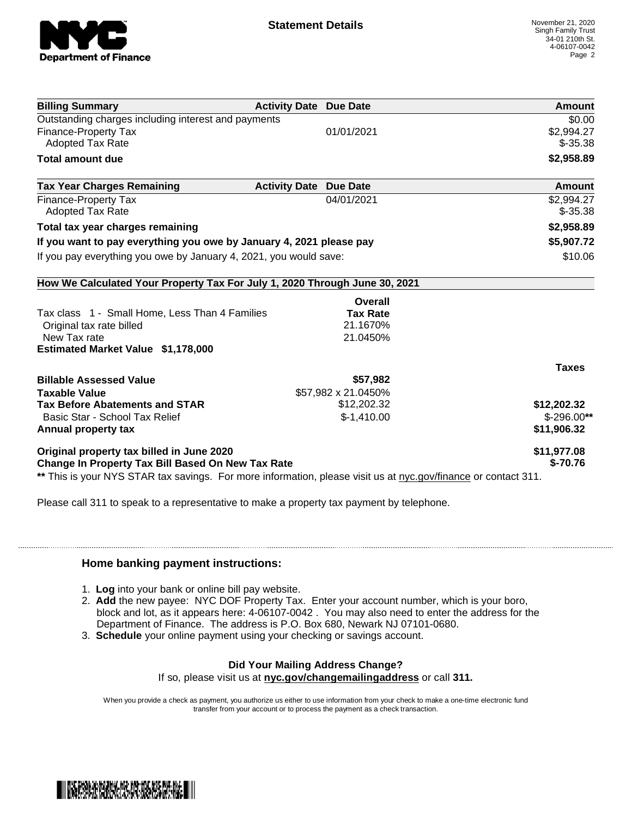

| <b>Billing Summary</b>                                                                                         | <b>Activity Date Due Date</b> | Amount        |
|----------------------------------------------------------------------------------------------------------------|-------------------------------|---------------|
| Outstanding charges including interest and payments                                                            |                               | \$0.00        |
| <b>Finance-Property Tax</b>                                                                                    | 01/01/2021                    | \$2,994.27    |
| <b>Adopted Tax Rate</b>                                                                                        |                               | $$-35.38$     |
| <b>Total amount due</b>                                                                                        |                               | \$2,958.89    |
| <b>Tax Year Charges Remaining</b>                                                                              | <b>Activity Date Due Date</b> | <b>Amount</b> |
| <b>Finance-Property Tax</b>                                                                                    | 04/01/2021                    | \$2,994.27    |
| <b>Adopted Tax Rate</b>                                                                                        |                               | $$-35.38$     |
| Total tax year charges remaining                                                                               |                               | \$2,958.89    |
| If you want to pay everything you owe by January 4, 2021 please pay                                            |                               | \$5,907.72    |
| If you pay everything you owe by January 4, 2021, you would save:                                              |                               | \$10.06       |
| How We Calculated Your Property Tax For July 1, 2020 Through June 30, 2021                                     |                               |               |
|                                                                                                                | Overall                       |               |
| Tax class 1 - Small Home, Less Than 4 Families                                                                 | <b>Tax Rate</b>               |               |
| Original tax rate billed                                                                                       | 21.1670%                      |               |
| New Tax rate                                                                                                   | 21.0450%                      |               |
| Estimated Market Value \$1,178,000                                                                             |                               |               |
|                                                                                                                |                               | <b>Taxes</b>  |
| <b>Billable Assessed Value</b>                                                                                 | \$57,982                      |               |
| <b>Taxable Value</b>                                                                                           | \$57,982 x 21.0450%           |               |
| <b>Tax Before Abatements and STAR</b>                                                                          | \$12,202.32                   | \$12,202.32   |
| Basic Star - School Tax Relief                                                                                 | $$-1,410.00$                  | $$-296.00**$  |
| Annual property tax                                                                                            |                               | \$11,906.32   |
| Original property tax billed in June 2020                                                                      |                               | \$11,977.08   |
| Change In Property Tax Bill Based On New Tax Rate                                                              |                               | $$-70.76$     |
| ** This is your NYS STAR tax savings. For more information, please visit us at nyc.gov/finance or contact 311. |                               |               |

Please call 311 to speak to a representative to make a property tax payment by telephone.

## **Home banking payment instructions:**

- 1. **Log** into your bank or online bill pay website.
- 2. **Add** the new payee: NYC DOF Property Tax. Enter your account number, which is your boro, block and lot, as it appears here: 4-06107-0042 . You may also need to enter the address for the Department of Finance. The address is P.O. Box 680, Newark NJ 07101-0680.
- 3. **Schedule** your online payment using your checking or savings account.

## **Did Your Mailing Address Change?**

If so, please visit us at **nyc.gov/changemailingaddress** or call **311.**

When you provide a check as payment, you authorize us either to use information from your check to make a one-time electronic fund transfer from your account or to process the payment as a check transaction.